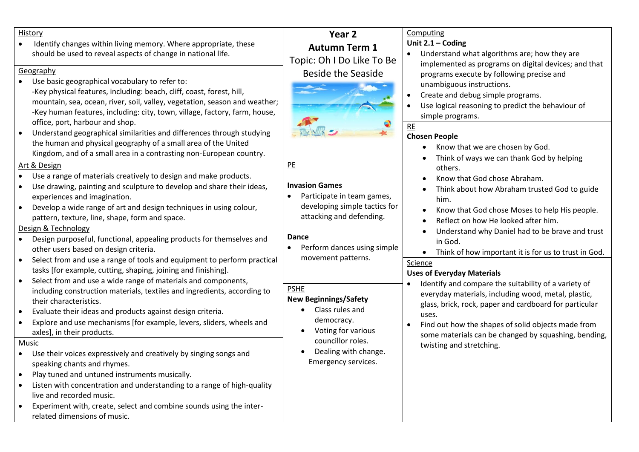| History<br>Identify changes within living memory. Where appropriate, these<br>should be used to reveal aspects of change in national life.<br>Geography<br>Use basic geographical vocabulary to refer to:<br>-Key physical features, including: beach, cliff, coast, forest, hill,<br>mountain, sea, ocean, river, soil, valley, vegetation, season and weather;<br>-Key human features, including: city, town, village, factory, farm, house,                                                                                                                                                                                                                                                                                                                                                                                                                                                                                                                                                                                                                                                                                                                                                                                                                                                                                           | Year 2<br><b>Autumn Term 1</b><br>Topic: Oh I Do Like To Be<br><b>Beside the Seaside</b>                                                                                                                                                                                                                                                                                                                    | Computing<br>Unit $2.1 -$ Coding<br>Understand what algorithms are; how they are<br>implemented as programs on digital devices; and that<br>programs execute by following precise and<br>unambiguous instructions.<br>Create and debug simple programs.<br>Use logical reasoning to predict the behaviour of<br>simple programs.<br>RE<br><b>Chosen People</b><br>Know that we are chosen by God.<br>Think of ways we can thank God by helping                                                                                                                                                                                                                                            |
|------------------------------------------------------------------------------------------------------------------------------------------------------------------------------------------------------------------------------------------------------------------------------------------------------------------------------------------------------------------------------------------------------------------------------------------------------------------------------------------------------------------------------------------------------------------------------------------------------------------------------------------------------------------------------------------------------------------------------------------------------------------------------------------------------------------------------------------------------------------------------------------------------------------------------------------------------------------------------------------------------------------------------------------------------------------------------------------------------------------------------------------------------------------------------------------------------------------------------------------------------------------------------------------------------------------------------------------|-------------------------------------------------------------------------------------------------------------------------------------------------------------------------------------------------------------------------------------------------------------------------------------------------------------------------------------------------------------------------------------------------------------|-------------------------------------------------------------------------------------------------------------------------------------------------------------------------------------------------------------------------------------------------------------------------------------------------------------------------------------------------------------------------------------------------------------------------------------------------------------------------------------------------------------------------------------------------------------------------------------------------------------------------------------------------------------------------------------------|
| office, port, harbour and shop.<br>Understand geographical similarities and differences through studying<br>the human and physical geography of a small area of the United<br>Kingdom, and of a small area in a contrasting non-European country.                                                                                                                                                                                                                                                                                                                                                                                                                                                                                                                                                                                                                                                                                                                                                                                                                                                                                                                                                                                                                                                                                        |                                                                                                                                                                                                                                                                                                                                                                                                             |                                                                                                                                                                                                                                                                                                                                                                                                                                                                                                                                                                                                                                                                                           |
| Art & Design<br>Use a range of materials creatively to design and make products.<br>Use drawing, painting and sculpture to develop and share their ideas,<br>experiences and imagination.<br>Develop a wide range of art and design techniques in using colour,<br>pattern, texture, line, shape, form and space.<br>Design & Technology<br>Design purposeful, functional, appealing products for themselves and<br>other users based on design criteria.<br>Select from and use a range of tools and equipment to perform practical<br>$\bullet$<br>tasks [for example, cutting, shaping, joining and finishing].<br>Select from and use a wide range of materials and components,<br>including construction materials, textiles and ingredients, according to<br>their characteristics.<br>Evaluate their ideas and products against design criteria.<br>Explore and use mechanisms [for example, levers, sliders, wheels and<br>axles], in their products.<br>Music<br>Use their voices expressively and creatively by singing songs and<br>speaking chants and rhymes.<br>Play tuned and untuned instruments musically.<br>Listen with concentration and understanding to a range of high-quality<br>live and recorded music.<br>Experiment with, create, select and combine sounds using the inter-<br>related dimensions of music. | P <sub>E</sub><br><b>Invasion Games</b><br>Participate in team games,<br>$\bullet$<br>developing simple tactics for<br>attacking and defending.<br><b>Dance</b><br>Perform dances using simple<br>$\bullet$<br>movement patterns.<br><b>PSHE</b><br><b>New Beginnings/Safety</b><br>Class rules and<br>democracy.<br>Voting for various<br>councillor roles.<br>Dealing with change.<br>Emergency services. | others.<br>Know that God chose Abraham.<br>Think about how Abraham trusted God to guide<br>him.<br>Know that God chose Moses to help His people.<br>Reflect on how He looked after him.<br>Understand why Daniel had to be brave and trust<br>in God.<br>Think of how important it is for us to trust in God.<br>Science<br><b>Uses of Everyday Materials</b><br>Identify and compare the suitability of a variety of<br>everyday materials, including wood, metal, plastic,<br>glass, brick, rock, paper and cardboard for particular<br>uses.<br>Find out how the shapes of solid objects made from<br>some materials can be changed by squashing, bending,<br>twisting and stretching. |